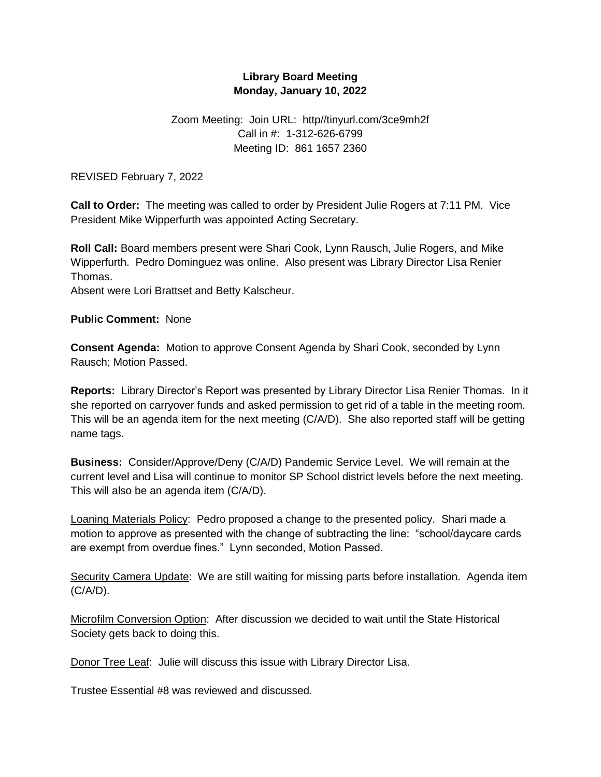## **Library Board Meeting Monday, January 10, 2022**

## Zoom Meeting: Join URL: http//tinyurl.com/3ce9mh2f Call in #: 1-312-626-6799 Meeting ID: 861 1657 2360

REVISED February 7, 2022

**Call to Order:** The meeting was called to order by President Julie Rogers at 7:11 PM. Vice President Mike Wipperfurth was appointed Acting Secretary.

**Roll Call:** Board members present were Shari Cook, Lynn Rausch, Julie Rogers, and Mike Wipperfurth. Pedro Dominguez was online. Also present was Library Director Lisa Renier Thomas.

Absent were Lori Brattset and Betty Kalscheur.

**Public Comment:** None

**Consent Agenda:** Motion to approve Consent Agenda by Shari Cook, seconded by Lynn Rausch; Motion Passed.

**Reports:** Library Director's Report was presented by Library Director Lisa Renier Thomas. In it she reported on carryover funds and asked permission to get rid of a table in the meeting room. This will be an agenda item for the next meeting (C/A/D). She also reported staff will be getting name tags.

**Business:** Consider/Approve/Deny (C/A/D) Pandemic Service Level. We will remain at the current level and Lisa will continue to monitor SP School district levels before the next meeting. This will also be an agenda item (C/A/D).

Loaning Materials Policy: Pedro proposed a change to the presented policy. Shari made a motion to approve as presented with the change of subtracting the line: "school/daycare cards are exempt from overdue fines." Lynn seconded, Motion Passed.

Security Camera Update: We are still waiting for missing parts before installation. Agenda item (C/A/D).

Microfilm Conversion Option: After discussion we decided to wait until the State Historical Society gets back to doing this.

Donor Tree Leaf: Julie will discuss this issue with Library Director Lisa.

Trustee Essential #8 was reviewed and discussed.